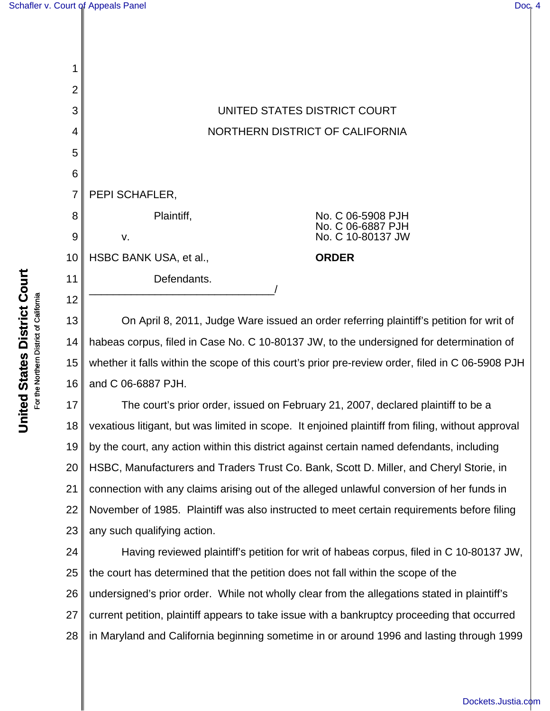| 1              |                        |                                        |
|----------------|------------------------|----------------------------------------|
| $\overline{2}$ |                        |                                        |
| 3              |                        | UNITED STATES DISTRICT COURT           |
| 4              |                        | NORTHERN DISTRICT OF CALIFORNIA        |
| 5              |                        |                                        |
| 6              |                        |                                        |
| 7              | PEPI SCHAFLER,         |                                        |
| 8              | Plaintiff,             | No. C 06-5908 PJH<br>No. C 06-6887 PJH |
| 9              | ٧.                     | No. C 10-80137 JW                      |
| 10             | HSBC BANK USA, et al., | <b>ORDER</b>                           |
| 11             | Defendants.            |                                        |
| 12             |                        |                                        |

13 14 15 16 On April 8, 2011, Judge Ware issued an order referring plaintiff's petition for writ of habeas corpus, filed in Case No. C 10-80137 JW, to the undersigned for determination of whether it falls within the scope of this court's prior pre-review order, filed in C 06-5908 PJH and C 06-6887 PJH.

17 18 19 20 21 22 23 The court's prior order, issued on February 21, 2007, declared plaintiff to be a vexatious litigant, but was limited in scope. It enjoined plaintiff from filing, without approval by the court, any action within this district against certain named defendants, including HSBC, Manufacturers and Traders Trust Co. Bank, Scott D. Miller, and Cheryl Storie, in connection with any claims arising out of the alleged unlawful conversion of her funds in November of 1985. Plaintiff was also instructed to meet certain requirements before filing any such qualifying action.

24 25 26 27 28 Having reviewed plaintiff's petition for writ of habeas corpus, filed in C 10-80137 JW, the court has determined that the petition does not fall within the scope of the undersigned's prior order. While not wholly clear from the allegations stated in plaintiff's current petition, plaintiff appears to take issue with a bankruptcy proceeding that occurred in Maryland and California beginning sometime in or around 1996 and lasting through 1999